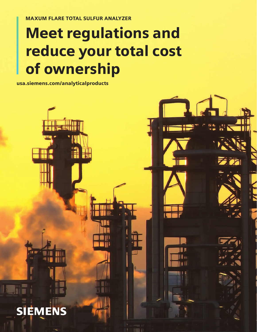MAXUM FLARE TOTAL SULFUR ANALYZER

# Meet regulations and reduce your total cost of ownership

usa.siemens.com/analyticalproducts

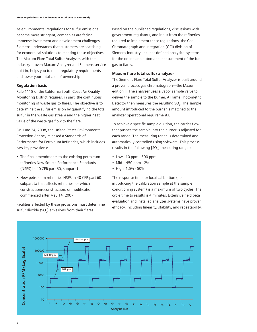As environmental regulations for sulfur emissions become more stringent, companies are facing immense investment and development challenges. Siemens understands that customers are searching for economical solutions to meeting these objectives. The Maxum Flare Total Sulfur Analyzer, with the industry-proven Maxum Analyzer and Siemens service built in, helps you to meet regulatory requirements and lower your total cost of ownership.

## Regulation basis

Rule 1118 of the California South Coast Air Quality Monitoring District requires, in part, the continuous monitoring of waste gas to flares. The objective is to determine the sulfur emission by quantifying the total sulfur in the waste gas stream and the higher heat value of the waste gas flow to the flare.

On June 24, 2008, the United States Environmental Protection Agency released a Standards of Performance for Petroleum Refineries, which includes two key provisions:

- The final amendments to the existing petroleum refineries New Source Performance Standards (NSPS) in 40 CFR part 60, subpart J
- New petroleum refineries NSPS in 40 CFR part 60, subpart Ja that affects refineries for which constructionreconstruction, or modification commenced after May 14, 2007

Facilities affected by these provisions must determine sulfur dioxide  $(SO<sub>2</sub>)$  emissions from their flares.

Based on the published regulations, discussions with government regulators, and input from the refineries required to implement these regulations, the Gas Chromatograph and Integration (GCI) division of Siemens Industry, Inc. has defined analytical systems for the online and automatic measurement of the fuel gas to flares.

# Maxum flare total sulfur analyzer

The Siemens Flare Total Sulfur Analyzer is built around a proven process gas chromatograph—the Maxum edition II. The analyzer uses a vapor sample valve to deliver the sample to the burner. A Flame Photometric Detector then measures the resulting SO<sub>2</sub>. The sample amount introduced to the burner is matched to the analyzer operational requirements.

To achieve a specific sample dilution, the carrier flow that pushes the sample into the burner is adjusted for each range. The measuring range is determined and automatically controlled using software. This process results in the following [SO<sub>2</sub>] measuring ranges:

- Low 10 ppm 500 ppm
- Mid 450 ppm 2%
- High 1.5% 50%

The response time for local calibration (i.e. introducing the calibration sample at the sample conditioning system) is a maximum of two cycles. The cycle time to results is 4 minutes. Extensive field beta evaluation and installed analyzer systems have proven efficacy, including linearity, stability, and repeatability.

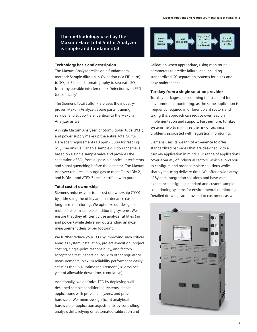**The methodology used by the Maxum Flare Total Sulfur Analyzer is simple and fundamental:**

### Technology basis and description

The Maxum Analyzer relies on a fundamental method: Sample dilution -> Oxidation (via FID burn) to  $SO_2$  -> Simple chromatography to separate  $SO_2$ from any possible interferents -> Detection with FPD (i.e. optically).

The Siemens Total Sulfur Flare uses the industryproven Maxum Analyzer. Spare parts, training, service, and support are identical to the Maxum Analyzer as well.

A single Maxum Analyzer, photomultiplier tube (PMT), and power supply make up the entire Total Sulfur Flare span requirement (10 ppm - 50%) for reading SO<sub>2</sub>. The unique, variable sample dilution scheme is based on a single sample valve and provides the separation of SO<sub>2</sub> from all possible optical interferents and signal quenching before the detector. The Maxum Analyzer requires no purge gas to meet Class I Div 2, and is Div 1 and ATEX Zone 1 certified with purge.

#### Total cost of ownership

Siemens reduces your total cost of ownership (TCO) by addressing the utility and maintenance costs of long-term monitoring. We optimize our designs for multiple stream sample conditioning systems. We ensure that they efficiently use analyzer utilities (air and power) while delivering outstanding analyzer measurement density per footprint.

We further reduce your TCO by improving such critical areas as system installation, project execution, project costing, single-point responsibility, and factory acceptance test inspection. As with other regulatory measurements, Maxum reliability performance easily satisfies the 95% uptime requirement (18 days per year of allowable downtime, cumulative).

Additionally, we optimize TCO by deploying welldesigned sample conditioning systems, stable applications with proven analyzers, and proven hardware. We minimize significant analytical hardware or application adjustments by controlling analysis drift, relying on automated calibration and



validation when appropriate, using monitoring parameters to predict failure, and including standardized GC separation systems for quick and easy maintenance.

#### Turnkey from a single solution provider

Turnkey packages are becoming the standard for environmental monitoring, as the same application is frequently required in different plant sectors and taking this approach can reduce overhead on implementation and support. Furthermore, turnkey systems help to minimize the risk of technical problems associated with regulation monitoring.

Siemens uses its wealth of experience to offer standardized packages that are designed with a turnkey application in mind. Our range of applications cover a variety of industrial sectors, which allows you to configure and order complete solutions while sharply reducing delivery time. We offer a wide array of System Integration solutions and have vast experience designing standard and custom sample conditioning systems for environmental monitoring. Detailed drawings are provided to customers as well.